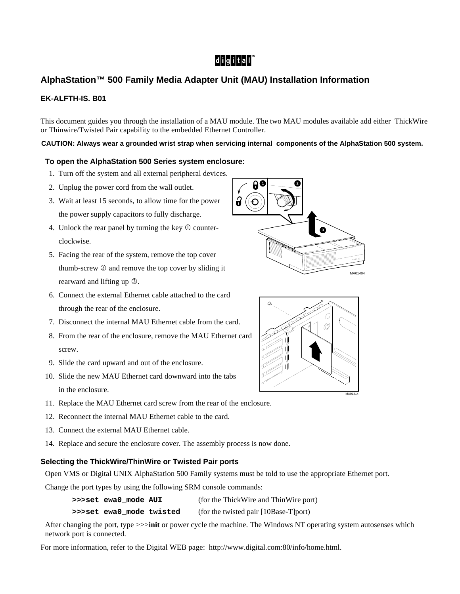# $|d|i|g|i|t|a|I^{\mathfrak{m}}$

## **AlphaStation™ 500 Family Media Adapter Unit (MAU) Installation Information**

### **EK-ALFTH-IS. B01**

This document guides you through the installation of a MAU module. The two MAU modules available add either ThickWire or Thinwire/Twisted Pair capability to the embedded Ethernet Controller.

#### **CAUTION: Always wear a grounded wrist strap when servicing internal components of the AlphaStation 500 system.**

#### **To open the AlphaStation 500 Series system enclosure:**

- 1. Turn off the system and all external peripheral devices.
- 2. Unplug the power cord from the wall outlet.
- 3. Wait at least 15 seconds, to allow time for the power the power supply capacitors to fully discharge.
- 4. Unlock the rear panel by turning the key  $\Phi$  counterclockwise.
- 5. Facing the rear of the system, remove the top cover thumb-screw  $\oslash$  and remove the top cover by sliding it rearward and lifting up  $\mathcal{D}$ .
- 6. Connect the external Ethernet cable attached to the card through the rear of the enclosure.
- 7. Disconnect the internal MAU Ethernet cable from the card.
- 8. From the rear of the enclosure, remove the MAU Ethernet card screw.
- 9. Slide the card upward and out of the enclosure.
- 10. Slide the new MAU Ethernet card downward into the tabs in the enclosure.
- 11. Replace the MAU Ethernet card screw from the rear of the enclosure.
- 12. Reconnect the internal MAU Ethernet cable to the card.
- 13. Connect the external MAU Ethernet cable.
- 14. Replace and secure the enclosure cover. The assembly process is now done.

#### **Selecting the ThickWire/ThinWire or Twisted Pair ports**

Open VMS or Digital UNIX AlphaStation 500 Family systems must be told to use the appropriate Ethernet port.

Change the port types by using the following SRM console commands:

- **>>>set ewa0\_mode AUI** (for the ThickWire and ThinWire port)
- **>>>set ewa0\_mode twisted** (for the twisted pair [10Base-T]port)

After changing the port, type >>>**init** or power cycle the machine. The Windows NT operating system autosenses which network port is connected.

For more information, refer to the Digital WEB page: http://www.digital.com:80/info/home.html.